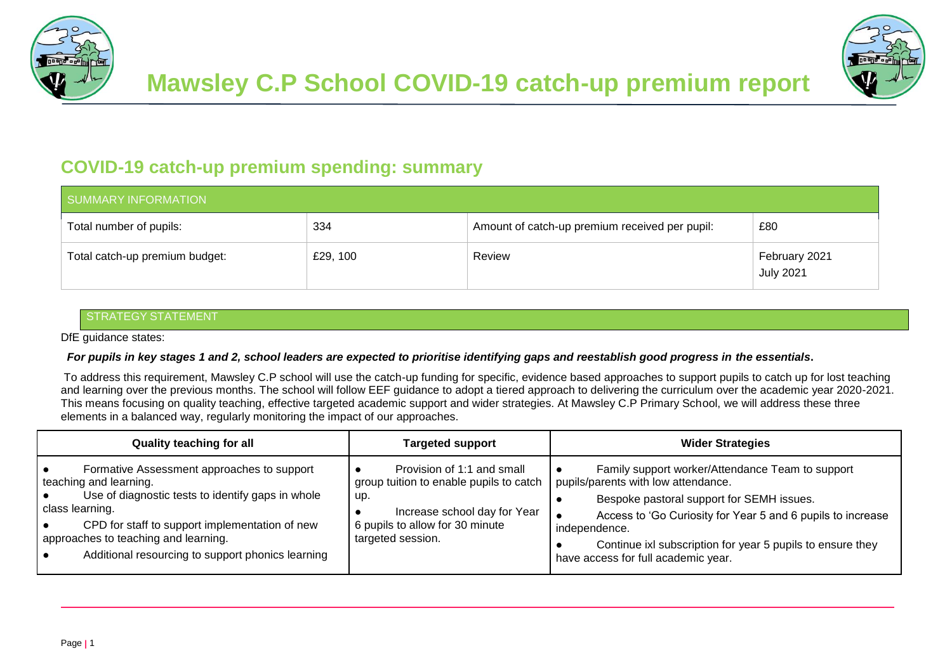



## **COVID-19 catch-up premium spending: summary**

| SUMMARY INFORMATION            |          |                                                |                                   |  |
|--------------------------------|----------|------------------------------------------------|-----------------------------------|--|
| Total number of pupils:        | 334      | Amount of catch-up premium received per pupil: | £80                               |  |
| Total catch-up premium budget: | £29, 100 | Review                                         | February 2021<br><b>July 2021</b> |  |

### **STRATEGY STATEMENT**

DfE guidance states:

#### *For pupils in key stages 1 and 2, school leaders are expected to prioritise identifying gaps and reestablish good progress in the essentials***.**

To address this requirement, Mawsley C.P school will use the catch-up funding for specific, evidence based approaches to support pupils to catch up for lost teaching and learning over the previous months. The school will follow EEF guidance to adopt a tiered approach to delivering the curriculum over the academic year 2020-2021. This means focusing on quality teaching, effective targeted academic support and wider strategies. At Mawsley C.P Primary School, we will address these three elements in a balanced way, regularly monitoring the impact of our approaches.

| <b>Quality teaching for all</b>                                                                                                                                                                                                                                                                                      | <b>Targeted support</b>                                                                                                                                              | <b>Wider Strategies</b>                                                                                                                                                                                                                                                                                                   |  |  |
|----------------------------------------------------------------------------------------------------------------------------------------------------------------------------------------------------------------------------------------------------------------------------------------------------------------------|----------------------------------------------------------------------------------------------------------------------------------------------------------------------|---------------------------------------------------------------------------------------------------------------------------------------------------------------------------------------------------------------------------------------------------------------------------------------------------------------------------|--|--|
| Formative Assessment approaches to support<br>$\bullet$<br>teaching and learning.<br>Use of diagnostic tests to identify gaps in whole<br>class learning.<br>CPD for staff to support implementation of new<br>∙<br>approaches to teaching and learning.<br>Additional resourcing to support phonics learning<br>l e | Provision of 1:1 and small<br>group tuition to enable pupils to catch<br>up.<br>Increase school day for Year<br>6 pupils to allow for 30 minute<br>targeted session. | Family support worker/Attendance Team to support<br>pupils/parents with low attendance.<br>Bespoke pastoral support for SEMH issues.<br>Access to 'Go Curiosity for Year 5 and 6 pupils to increase<br>independence.<br>Continue ixl subscription for year 5 pupils to ensure they<br>have access for full academic year. |  |  |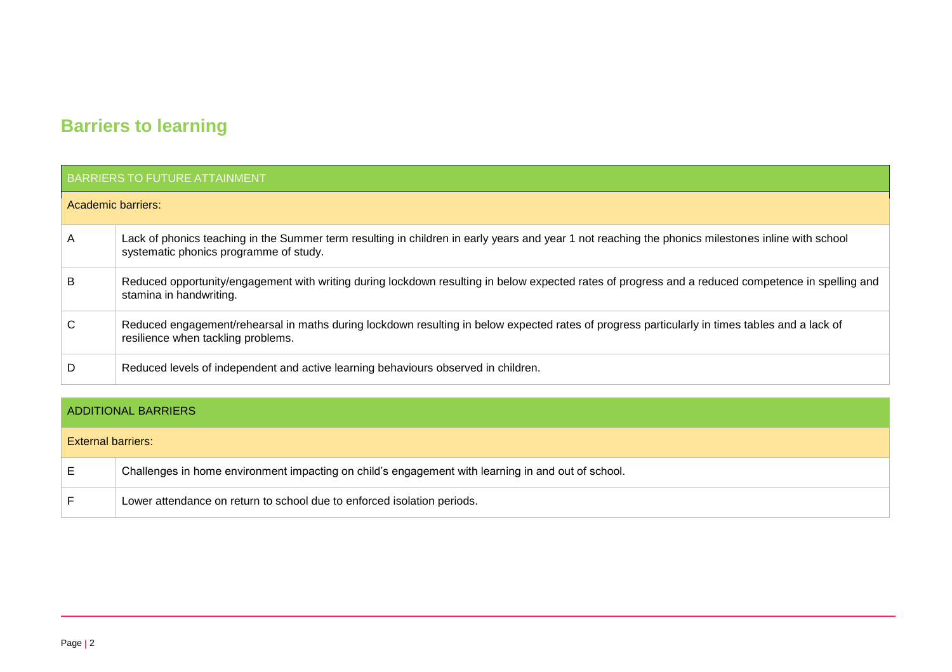# **Barriers to learning**

### BARRIERS TO FUTURE ATTAINMENT

#### Academic barriers:

| A | Lack of phonics teaching in the Summer term resulting in children in early years and year 1 not reaching the phonics milestones inline with school<br>systematic phonics programme of study. |
|---|----------------------------------------------------------------------------------------------------------------------------------------------------------------------------------------------|
| B | Reduced opportunity/engagement with writing during lockdown resulting in below expected rates of progress and a reduced competence in spelling and<br>stamina in handwriting.                |
| C | Reduced engagement/rehearsal in maths during lockdown resulting in below expected rates of progress particularly in times tables and a lack of<br>resilience when tackling problems.         |
| D | Reduced levels of independent and active learning behaviours observed in children.                                                                                                           |

### ADDITIONAL BARRIERS

| <b>External barriers:</b> |                                                                                                    |
|---------------------------|----------------------------------------------------------------------------------------------------|
|                           | Challenges in home environment impacting on child's engagement with learning in and out of school. |
|                           | Lower attendance on return to school due to enforced isolation periods.                            |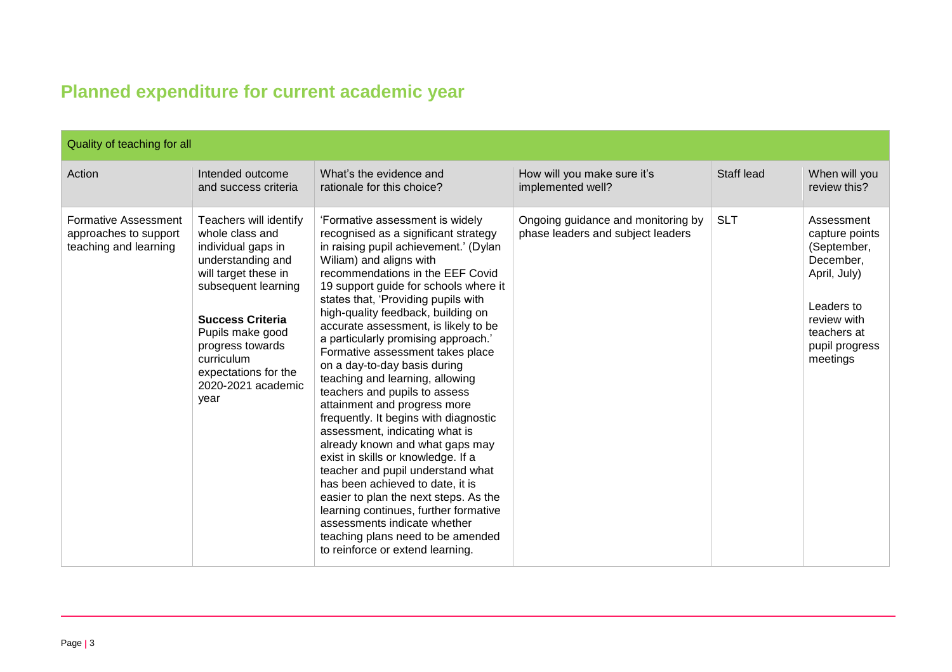# **Planned expenditure for current academic year**

| Quality of teaching for all                                                   |                                                                                                                                                                                                                                                                            |                                                                                                                                                                                                                                                                                                                                                                                                                                                                                                                                                                                                                                                                                                                                                                                                                                                                                                                                                                                      |                                                                         |            |                                                                                                                                                    |  |
|-------------------------------------------------------------------------------|----------------------------------------------------------------------------------------------------------------------------------------------------------------------------------------------------------------------------------------------------------------------------|--------------------------------------------------------------------------------------------------------------------------------------------------------------------------------------------------------------------------------------------------------------------------------------------------------------------------------------------------------------------------------------------------------------------------------------------------------------------------------------------------------------------------------------------------------------------------------------------------------------------------------------------------------------------------------------------------------------------------------------------------------------------------------------------------------------------------------------------------------------------------------------------------------------------------------------------------------------------------------------|-------------------------------------------------------------------------|------------|----------------------------------------------------------------------------------------------------------------------------------------------------|--|
| Action                                                                        | Intended outcome<br>and success criteria                                                                                                                                                                                                                                   | What's the evidence and<br>rationale for this choice?                                                                                                                                                                                                                                                                                                                                                                                                                                                                                                                                                                                                                                                                                                                                                                                                                                                                                                                                | How will you make sure it's<br>implemented well?                        | Staff lead | When will you<br>review this?                                                                                                                      |  |
| <b>Formative Assessment</b><br>approaches to support<br>teaching and learning | Teachers will identify<br>whole class and<br>individual gaps in<br>understanding and<br>will target these in<br>subsequent learning<br><b>Success Criteria</b><br>Pupils make good<br>progress towards<br>curriculum<br>expectations for the<br>2020-2021 academic<br>year | 'Formative assessment is widely<br>recognised as a significant strategy<br>in raising pupil achievement.' (Dylan<br>Wiliam) and aligns with<br>recommendations in the EEF Covid<br>19 support guide for schools where it<br>states that, 'Providing pupils with<br>high-quality feedback, building on<br>accurate assessment, is likely to be<br>a particularly promising approach.'<br>Formative assessment takes place<br>on a day-to-day basis during<br>teaching and learning, allowing<br>teachers and pupils to assess<br>attainment and progress more<br>frequently. It begins with diagnostic<br>assessment, indicating what is<br>already known and what gaps may<br>exist in skills or knowledge. If a<br>teacher and pupil understand what<br>has been achieved to date, it is<br>easier to plan the next steps. As the<br>learning continues, further formative<br>assessments indicate whether<br>teaching plans need to be amended<br>to reinforce or extend learning. | Ongoing guidance and monitoring by<br>phase leaders and subject leaders | <b>SLT</b> | Assessment<br>capture points<br>(September,<br>December,<br>April, July)<br>Leaders to<br>review with<br>teachers at<br>pupil progress<br>meetings |  |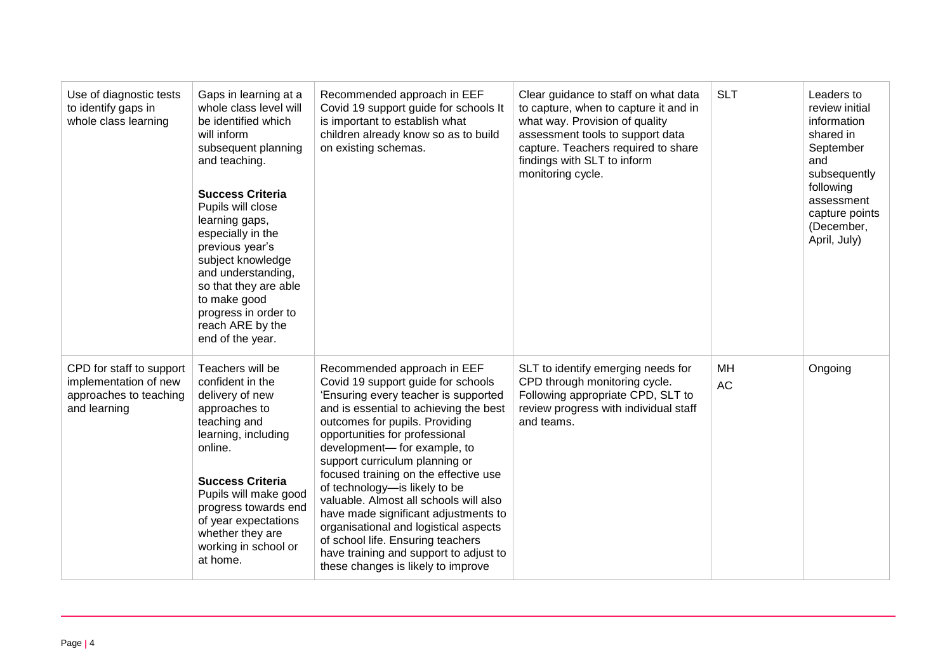| Use of diagnostic tests<br>to identify gaps in<br>whole class learning                      | Gaps in learning at a<br>whole class level will<br>be identified which<br>will inform<br>subsequent planning<br>and teaching.<br><b>Success Criteria</b><br>Pupils will close<br>learning gaps,<br>especially in the<br>previous year's<br>subject knowledge<br>and understanding,<br>so that they are able<br>to make good<br>progress in order to<br>reach ARE by the<br>end of the year. | Recommended approach in EEF<br>Covid 19 support guide for schools It<br>is important to establish what<br>children already know so as to build<br>on existing schemas.                                                                                                                                                                                                                                                                                                                                                                                                                                              | Clear guidance to staff on what data<br>to capture, when to capture it and in<br>what way. Provision of quality<br>assessment tools to support data<br>capture. Teachers required to share<br>findings with SLT to inform<br>monitoring cycle. | <b>SLT</b>      | Leaders to<br>review initial<br>information<br>shared in<br>September<br>and<br>subsequently<br>following<br>assessment<br>capture points<br>(December,<br>April, July) |
|---------------------------------------------------------------------------------------------|---------------------------------------------------------------------------------------------------------------------------------------------------------------------------------------------------------------------------------------------------------------------------------------------------------------------------------------------------------------------------------------------|---------------------------------------------------------------------------------------------------------------------------------------------------------------------------------------------------------------------------------------------------------------------------------------------------------------------------------------------------------------------------------------------------------------------------------------------------------------------------------------------------------------------------------------------------------------------------------------------------------------------|------------------------------------------------------------------------------------------------------------------------------------------------------------------------------------------------------------------------------------------------|-----------------|-------------------------------------------------------------------------------------------------------------------------------------------------------------------------|
| CPD for staff to support<br>implementation of new<br>approaches to teaching<br>and learning | Teachers will be<br>confident in the<br>delivery of new<br>approaches to<br>teaching and<br>learning, including<br>online.<br><b>Success Criteria</b><br>Pupils will make good<br>progress towards end<br>of year expectations<br>whether they are<br>working in school or<br>at home.                                                                                                      | Recommended approach in EEF<br>Covid 19 support guide for schools<br>'Ensuring every teacher is supported<br>and is essential to achieving the best<br>outcomes for pupils. Providing<br>opportunities for professional<br>development- for example, to<br>support curriculum planning or<br>focused training on the effective use<br>of technology-is likely to be<br>valuable. Almost all schools will also<br>have made significant adjustments to<br>organisational and logistical aspects<br>of school life. Ensuring teachers<br>have training and support to adjust to<br>these changes is likely to improve | SLT to identify emerging needs for<br>CPD through monitoring cycle.<br>Following appropriate CPD, SLT to<br>review progress with individual staff<br>and teams.                                                                                | МH<br><b>AC</b> | Ongoing                                                                                                                                                                 |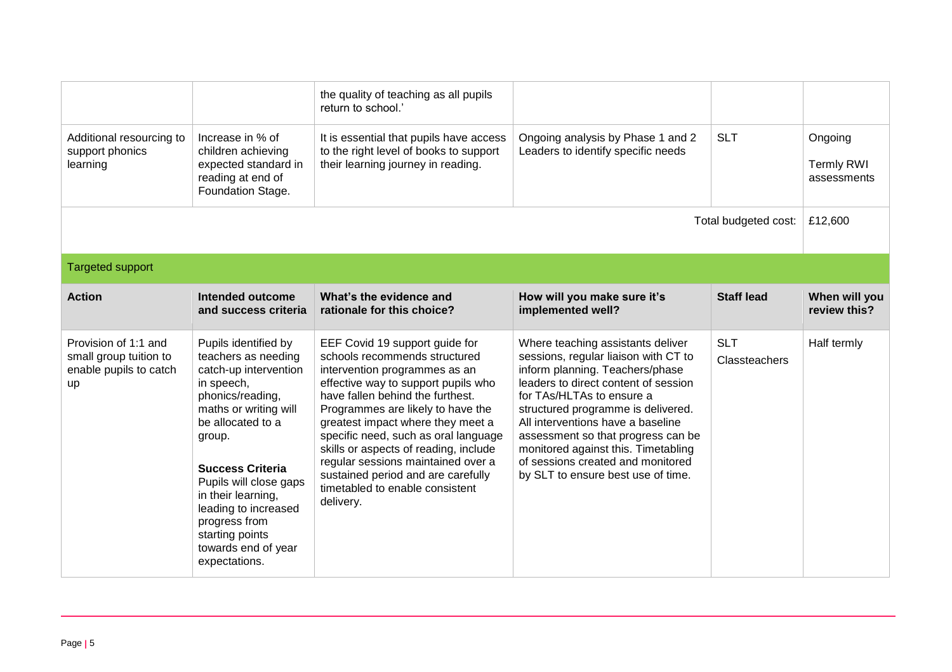|                                                                                |                                                                                                                                                                                                                                                                                                                                               | the quality of teaching as all pupils<br>return to school.'                                                                                                                                                                                                                                                                                                                                                                                                        |                                                                                                                                                                                                                                                                                                                                                                                                                      |                             |                                             |
|--------------------------------------------------------------------------------|-----------------------------------------------------------------------------------------------------------------------------------------------------------------------------------------------------------------------------------------------------------------------------------------------------------------------------------------------|--------------------------------------------------------------------------------------------------------------------------------------------------------------------------------------------------------------------------------------------------------------------------------------------------------------------------------------------------------------------------------------------------------------------------------------------------------------------|----------------------------------------------------------------------------------------------------------------------------------------------------------------------------------------------------------------------------------------------------------------------------------------------------------------------------------------------------------------------------------------------------------------------|-----------------------------|---------------------------------------------|
| Additional resourcing to<br>support phonics<br>learning                        | Increase in % of<br>children achieving<br>expected standard in<br>reading at end of<br>Foundation Stage.                                                                                                                                                                                                                                      | It is essential that pupils have access<br>to the right level of books to support<br>their learning journey in reading.                                                                                                                                                                                                                                                                                                                                            | Ongoing analysis by Phase 1 and 2<br>Leaders to identify specific needs                                                                                                                                                                                                                                                                                                                                              | <b>SLT</b>                  | Ongoing<br><b>Termly RWI</b><br>assessments |
| Total budgeted cost:                                                           |                                                                                                                                                                                                                                                                                                                                               |                                                                                                                                                                                                                                                                                                                                                                                                                                                                    |                                                                                                                                                                                                                                                                                                                                                                                                                      |                             | £12,600                                     |
| <b>Targeted support</b>                                                        |                                                                                                                                                                                                                                                                                                                                               |                                                                                                                                                                                                                                                                                                                                                                                                                                                                    |                                                                                                                                                                                                                                                                                                                                                                                                                      |                             |                                             |
| <b>Action</b>                                                                  | Intended outcome<br>and success criteria                                                                                                                                                                                                                                                                                                      | What's the evidence and<br>rationale for this choice?                                                                                                                                                                                                                                                                                                                                                                                                              | How will you make sure it's<br>implemented well?                                                                                                                                                                                                                                                                                                                                                                     | <b>Staff lead</b>           | When will you<br>review this?               |
| Provision of 1:1 and<br>small group tuition to<br>enable pupils to catch<br>up | Pupils identified by<br>teachers as needing<br>catch-up intervention<br>in speech,<br>phonics/reading,<br>maths or writing will<br>be allocated to a<br>group.<br><b>Success Criteria</b><br>Pupils will close gaps<br>in their learning,<br>leading to increased<br>progress from<br>starting points<br>towards end of year<br>expectations. | EEF Covid 19 support guide for<br>schools recommends structured<br>intervention programmes as an<br>effective way to support pupils who<br>have fallen behind the furthest.<br>Programmes are likely to have the<br>greatest impact where they meet a<br>specific need, such as oral language<br>skills or aspects of reading, include<br>regular sessions maintained over a<br>sustained period and are carefully<br>timetabled to enable consistent<br>delivery. | Where teaching assistants deliver<br>sessions, regular liaison with CT to<br>inform planning. Teachers/phase<br>leaders to direct content of session<br>for TAs/HLTAs to ensure a<br>structured programme is delivered.<br>All interventions have a baseline<br>assessment so that progress can be<br>monitored against this. Timetabling<br>of sessions created and monitored<br>by SLT to ensure best use of time. | <b>SLT</b><br>Classteachers | Half termly                                 |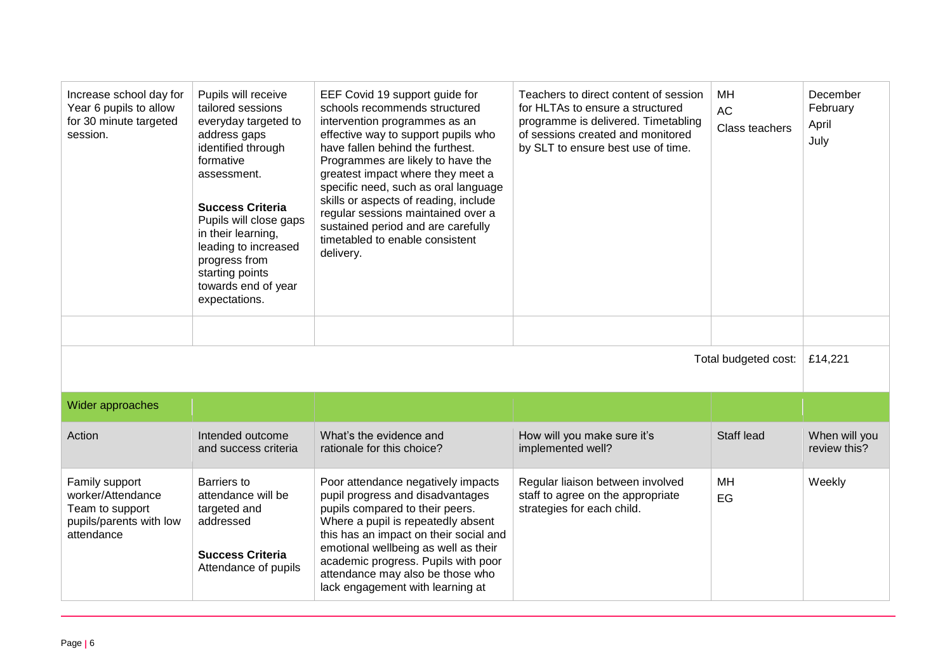| Increase school day for<br>Year 6 pupils to allow<br>for 30 minute targeted<br>session.         | Pupils will receive<br>tailored sessions<br>everyday targeted to<br>address gaps<br>identified through<br>formative<br>assessment.<br><b>Success Criteria</b><br>Pupils will close gaps<br>in their learning,<br>leading to increased<br>progress from<br>starting points<br>towards end of year<br>expectations. | EEF Covid 19 support guide for<br>schools recommends structured<br>intervention programmes as an<br>effective way to support pupils who<br>have fallen behind the furthest.<br>Programmes are likely to have the<br>greatest impact where they meet a<br>specific need, such as oral language<br>skills or aspects of reading, include<br>regular sessions maintained over a<br>sustained period and are carefully<br>timetabled to enable consistent<br>delivery. | Teachers to direct content of session<br>for HLTAs to ensure a structured<br>programme is delivered. Timetabling<br>of sessions created and monitored<br>by SLT to ensure best use of time. | MН<br><b>AC</b><br>Class teachers | December<br>February<br>April<br>July |
|-------------------------------------------------------------------------------------------------|-------------------------------------------------------------------------------------------------------------------------------------------------------------------------------------------------------------------------------------------------------------------------------------------------------------------|--------------------------------------------------------------------------------------------------------------------------------------------------------------------------------------------------------------------------------------------------------------------------------------------------------------------------------------------------------------------------------------------------------------------------------------------------------------------|---------------------------------------------------------------------------------------------------------------------------------------------------------------------------------------------|-----------------------------------|---------------------------------------|
|                                                                                                 |                                                                                                                                                                                                                                                                                                                   |                                                                                                                                                                                                                                                                                                                                                                                                                                                                    |                                                                                                                                                                                             |                                   |                                       |
|                                                                                                 |                                                                                                                                                                                                                                                                                                                   |                                                                                                                                                                                                                                                                                                                                                                                                                                                                    |                                                                                                                                                                                             | Total budgeted cost:              | £14,221                               |
| Wider approaches                                                                                |                                                                                                                                                                                                                                                                                                                   |                                                                                                                                                                                                                                                                                                                                                                                                                                                                    |                                                                                                                                                                                             |                                   |                                       |
| Action                                                                                          | Intended outcome<br>and success criteria                                                                                                                                                                                                                                                                          | What's the evidence and<br>rationale for this choice?                                                                                                                                                                                                                                                                                                                                                                                                              | How will you make sure it's<br>implemented well?                                                                                                                                            | Staff lead                        | When will you<br>review this?         |
| Family support<br>worker/Attendance<br>Team to support<br>pupils/parents with low<br>attendance | Barriers to<br>attendance will be<br>targeted and<br>addressed<br><b>Success Criteria</b><br>Attendance of pupils                                                                                                                                                                                                 | Poor attendance negatively impacts<br>pupil progress and disadvantages<br>pupils compared to their peers.<br>Where a pupil is repeatedly absent<br>this has an impact on their social and<br>emotional wellbeing as well as their<br>academic progress. Pupils with poor<br>attendance may also be those who<br>lack engagement with learning at                                                                                                                   | Regular liaison between involved<br>staff to agree on the appropriate<br>strategies for each child.                                                                                         | MН<br>EG                          | Weekly                                |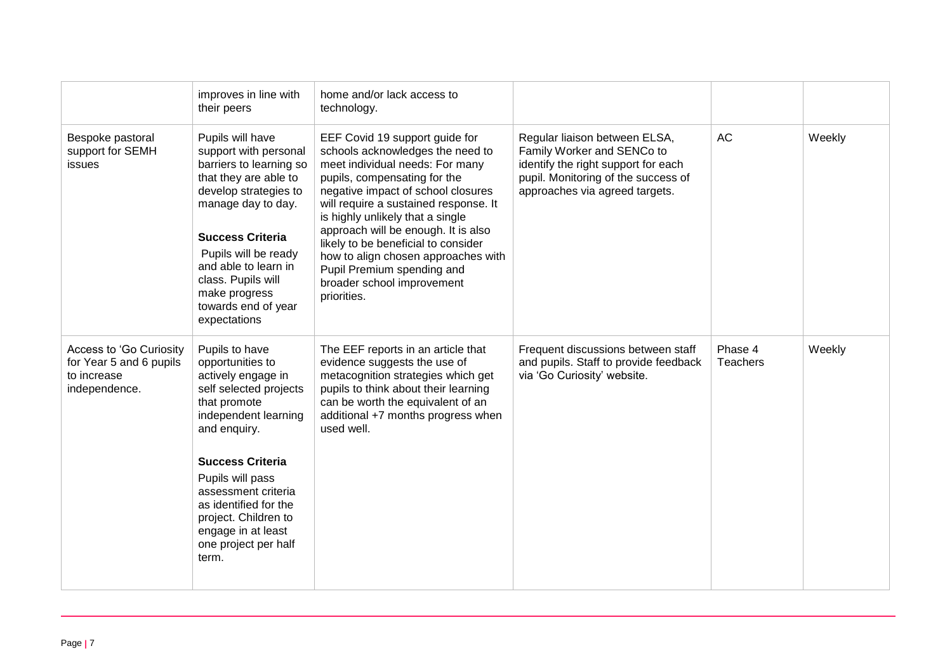|                                                                                    | improves in line with<br>their peers                                                                                                                                                                                                                                                                                     | home and/or lack access to<br>technology.                                                                                                                                                                                                                                                                                                                                                                                                                |                                                                                                                                                                             |                     |        |
|------------------------------------------------------------------------------------|--------------------------------------------------------------------------------------------------------------------------------------------------------------------------------------------------------------------------------------------------------------------------------------------------------------------------|----------------------------------------------------------------------------------------------------------------------------------------------------------------------------------------------------------------------------------------------------------------------------------------------------------------------------------------------------------------------------------------------------------------------------------------------------------|-----------------------------------------------------------------------------------------------------------------------------------------------------------------------------|---------------------|--------|
| Bespoke pastoral<br>support for SEMH<br>issues                                     | Pupils will have<br>support with personal<br>barriers to learning so<br>that they are able to<br>develop strategies to<br>manage day to day.<br><b>Success Criteria</b><br>Pupils will be ready<br>and able to learn in<br>class. Pupils will<br>make progress<br>towards end of year<br>expectations                    | EEF Covid 19 support guide for<br>schools acknowledges the need to<br>meet individual needs: For many<br>pupils, compensating for the<br>negative impact of school closures<br>will require a sustained response. It<br>is highly unlikely that a single<br>approach will be enough. It is also<br>likely to be beneficial to consider<br>how to align chosen approaches with<br>Pupil Premium spending and<br>broader school improvement<br>priorities. | Regular liaison between ELSA,<br>Family Worker and SENCo to<br>identify the right support for each<br>pupil. Monitoring of the success of<br>approaches via agreed targets. | <b>AC</b>           | Weekly |
| Access to 'Go Curiosity<br>for Year 5 and 6 pupils<br>to increase<br>independence. | Pupils to have<br>opportunities to<br>actively engage in<br>self selected projects<br>that promote<br>independent learning<br>and enquiry.<br><b>Success Criteria</b><br>Pupils will pass<br>assessment criteria<br>as identified for the<br>project. Children to<br>engage in at least<br>one project per half<br>term. | The EEF reports in an article that<br>evidence suggests the use of<br>metacognition strategies which get<br>pupils to think about their learning<br>can be worth the equivalent of an<br>additional +7 months progress when<br>used well.                                                                                                                                                                                                                | Frequent discussions between staff<br>and pupils. Staff to provide feedback<br>via 'Go Curiosity' website.                                                                  | Phase 4<br>Teachers | Weekly |